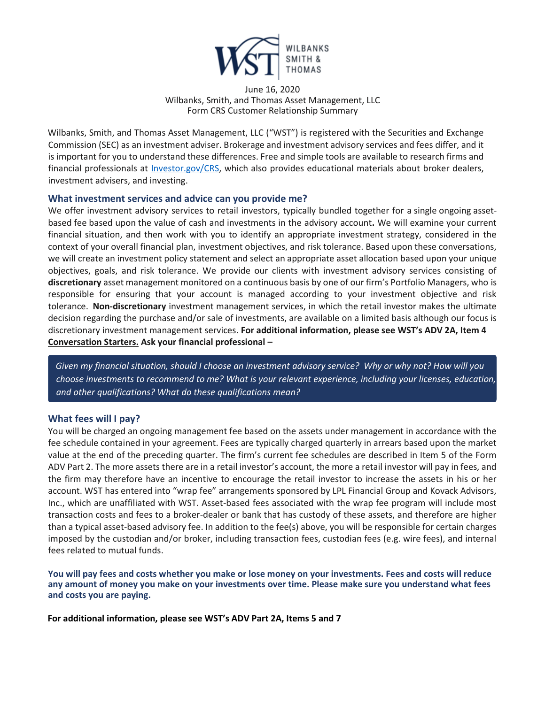

#### June 16, 2020 Wilbanks, Smith, and Thomas Asset Management, LLC Form CRS Customer Relationship Summary

Wilbanks, Smith, and Thomas Asset Management, LLC ("WST") is registered with the Securities and Exchange Commission (SEC) as an investment adviser. Brokerage and investment advisory services and fees differ, and it is important for you to understand these differences. Free and simple tools are available to research firms and financial professionals at [Investor.gov/CRS,](https://www.investor.gov/home/welcome-investor-gov-crs) which also provides educational materials about broker dealers, investment advisers, and investing.

## **What investment services and advice can you provide me?**

We offer investment advisory services to retail investors, typically bundled together for a single ongoing assetbased fee based upon the value of cash and investments in the advisory account**.** We will examine your current financial situation, and then work with you to identify an appropriate investment strategy, considered in the context of your overall financial plan, investment objectives, and risk tolerance. Based upon these conversations, we will create an investment policy statement and select an appropriate asset allocation based upon your unique objectives, goals, and risk tolerance. We provide our clients with investment advisory services consisting of **discretionary** asset management monitored on a continuous basis by one of our firm's Portfolio Managers, who is responsible for ensuring that your account is managed according to your investment objective and risk tolerance. **Non-discretionary** investment management services, in which the retail investor makes the ultimate decision regarding the purchase and/or sale of investments, are available on a limited basis although our focus is discretionary investment management services. **For additional information, please see WST's ADV 2A, Item 4 Conversation Starters. Ask your financial professional –**

*Given my financial situation, should I choose an investment advisory service? Why or why not? How will you choose investments to recommend to me? What is your relevant experience, including your licenses, education, and other qualifications? What do these qualifications mean?*

## **What fees will I pay?**

You will be charged an ongoing management fee based on the assets under management in accordance with the fee schedule contained in your agreement. Fees are typically charged quarterly in arrears based upon the market value at the end of the preceding quarter. The firm's current fee schedules are described in Item 5 of the Form ADV Part 2. The more assets there are in a retail investor's account, the more a retail investor will pay in fees, and the firm may therefore have an incentive to encourage the retail investor to increase the assets in his or her account. WST has entered into "wrap fee" arrangements sponsored by LPL Financial Group and Kovack Advisors, Inc., which are unaffiliated with WST. Asset-based fees associated with the wrap fee program will include most transaction costs and fees to a broker-dealer or bank that has custody of these assets, and therefore are higher than a typical asset-based advisory fee. In addition to the fee(s) above, you will be responsible for certain charges imposed by the custodian and/or broker, including transaction fees, custodian fees (e.g. wire fees), and internal fees related to mutual funds.

**You will pay fees and costs whether you make or lose money on your investments. Fees and costs will reduce any amount of money you make on your investments over time. Please make sure you understand what fees and costs you are paying.** 

**For additional information, please see WST's ADV Part 2A, Items 5 and 7**